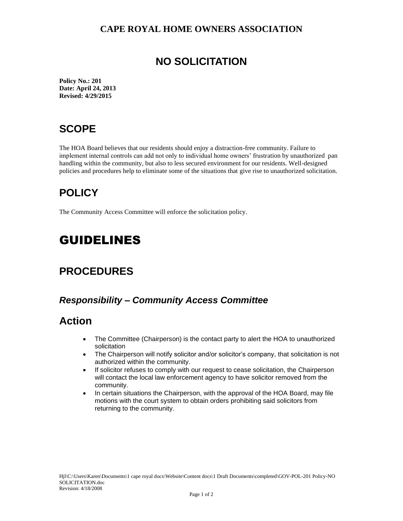#### **CAPE ROYAL HOME OWNERS ASSOCIATION**

## **NO SOLICITATION**

**Policy No.: 201 Date: April 24, 2013 Revised: 4/29/2015**

## **SCOPE**

The HOA Board believes that our residents should enjoy a distraction-free community. Failure to implement internal controls can add not only to individual home owners' frustration by unauthorized pan handling within the community, but also to less secured environment for our residents. Well-designed policies and procedures help to eliminate some of the situations that give rise to unauthorized solicitation.

# **POLICY**

The Community Access Committee will enforce the solicitation policy.

# GUIDELINES

## **PROCEDURES**

### *Responsibility – Community Access Committee*

## **Action**

- The Committee (Chairperson) is the contact party to alert the HOA to unauthorized solicitation
- The Chairperson will notify solicitor and/or solicitor's company, that solicitation is not authorized within the community.
- If solicitor refuses to comply with our request to cease solicitation, the Chairperson will contact the local law enforcement agency to have solicitor removed from the community.
- In certain situations the Chairperson, with the approval of the HOA Board, may file motions with the court system to obtain orders prohibiting said solicitors from returning to the community.